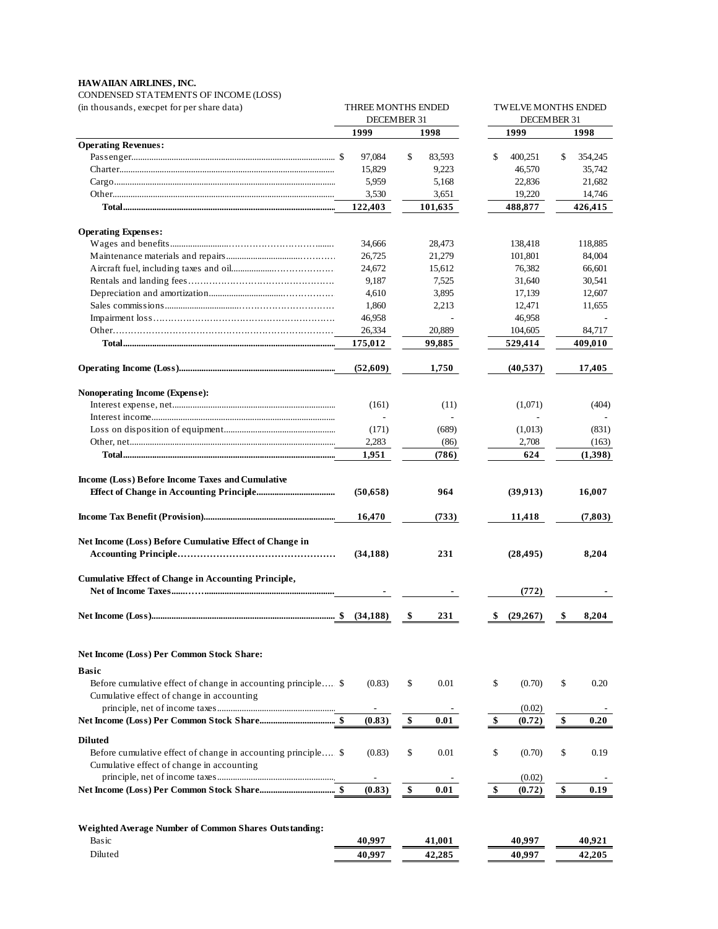## **HAWAIIAN AIRLINES, INC.**

CONDENSED STATEMENTS OF INCOME (LOSS)

| (in thousands, execpet for per share data)                                                                 |                                    | THREE MONTHS ENDED<br>DECEMBER 31 | <b>TWELVE MONTHS ENDED</b><br>DECEMBER 31 |                   |  |
|------------------------------------------------------------------------------------------------------------|------------------------------------|-----------------------------------|-------------------------------------------|-------------------|--|
|                                                                                                            | 1999                               | 1998                              | 1999                                      | 1998              |  |
| <b>Operating Revenues:</b>                                                                                 |                                    |                                   |                                           |                   |  |
|                                                                                                            | 97,084                             | \$<br>83,593                      | \$<br>400,251                             | \$<br>354,245     |  |
|                                                                                                            | 15,829                             | 9,223                             | 46,570                                    | 35,742            |  |
|                                                                                                            | 5,959                              | 5,168                             | 22,836                                    | 21,682            |  |
|                                                                                                            | 3,530<br>122,403                   | 3,651<br>101,635                  | 19,220<br>488,877                         | 14,746<br>426,415 |  |
|                                                                                                            |                                    |                                   |                                           |                   |  |
| <b>Operating Expenses:</b>                                                                                 |                                    |                                   |                                           |                   |  |
|                                                                                                            | 34,666                             | 28,473                            | 138,418                                   | 118,885           |  |
|                                                                                                            | 26,725                             | 21,279                            | 101,801                                   | 84,004            |  |
|                                                                                                            | 24,672                             | 15,612                            | 76,382                                    | 66,601            |  |
|                                                                                                            | 9,187                              | 7,525                             | 31,640                                    | 30,541            |  |
|                                                                                                            | 4,610                              | 3,895                             | 17,139                                    | 12,607            |  |
|                                                                                                            | 1,860                              | 2,213                             | 12,471                                    | 11,655            |  |
|                                                                                                            | 46,958                             |                                   | 46,958                                    |                   |  |
|                                                                                                            | 26,334                             | 20,889                            | 104,605                                   | 84,717            |  |
|                                                                                                            | 175,012                            | 99,885                            | 529,414                                   | 409,010           |  |
|                                                                                                            | (52,609)                           | 1,750                             | (40, 537)                                 | 17,405            |  |
| Nonoperating Income (Expense):                                                                             |                                    |                                   |                                           |                   |  |
|                                                                                                            | (161)                              | (11)                              | (1,071)                                   | (404)             |  |
|                                                                                                            |                                    |                                   |                                           |                   |  |
|                                                                                                            | (171)                              | (689)                             | (1,013)                                   | (831)             |  |
|                                                                                                            | 2,283                              | (86)                              | 2,708                                     | (163)             |  |
|                                                                                                            | 1,951                              | (786)                             | 624                                       | (1,398)           |  |
|                                                                                                            |                                    |                                   |                                           |                   |  |
| Income (Loss) Before Income Taxes and Cumulative                                                           |                                    |                                   |                                           |                   |  |
|                                                                                                            | (50, 658)                          | 964                               | (39,913)                                  | 16,007            |  |
|                                                                                                            | 16,470                             | (733)                             | 11,418                                    | (7,803)           |  |
| Net Income (Loss) Before Cumulative Effect of Change in                                                    |                                    |                                   |                                           |                   |  |
|                                                                                                            | (34, 188)                          | 231                               | (28, 495)                                 | 8,204             |  |
|                                                                                                            |                                    |                                   |                                           |                   |  |
| <b>Cumulative Effect of Change in Accounting Principle,</b>                                                |                                    |                                   |                                           |                   |  |
|                                                                                                            |                                    |                                   | (772)                                     |                   |  |
|                                                                                                            |                                    | 231<br>- SS                       | \$ (29,267)                               | 8,204<br>- \$     |  |
| <b>Net Income (Loss) Per Common Stock Share:</b>                                                           |                                    |                                   |                                           |                   |  |
|                                                                                                            |                                    |                                   |                                           |                   |  |
| <b>Basic</b>                                                                                               |                                    |                                   |                                           |                   |  |
| Before cumulative effect of change in accounting principle \$<br>Cumulative effect of change in accounting | (0.83)                             | \$<br>0.01                        | \$<br>(0.70)                              | \$<br>0.20        |  |
|                                                                                                            |                                    |                                   |                                           |                   |  |
|                                                                                                            | $\overline{\phantom{a}}$<br>(0.83) | $\frac{1}{2}$<br>0.01             | (0.02)<br>\$<br>(0.72)                    | \$<br>0.20        |  |
|                                                                                                            |                                    |                                   |                                           |                   |  |
| <b>Diluted</b>                                                                                             |                                    |                                   |                                           |                   |  |
| Before cumulative effect of change in accounting principle \$                                              | (0.83)                             | \$<br>0.01                        | \$<br>(0.70)                              | \$<br>0.19        |  |
| Cumulative effect of change in accounting                                                                  |                                    |                                   |                                           |                   |  |
|                                                                                                            | $\overline{\phantom{a}}$           |                                   | (0.02)                                    |                   |  |
|                                                                                                            | (0.83)                             | \$<br>0.01                        | \$<br>(0.72)                              | \$<br>0.19        |  |
|                                                                                                            |                                    |                                   |                                           |                   |  |
| Weighted Average Number of Common Shares Outstanding:                                                      |                                    |                                   |                                           |                   |  |
| Basic                                                                                                      | 40,997                             | 41,001                            | 40,997                                    | 40,921            |  |
| Diluted                                                                                                    | 40,997                             | 42,285                            | 40,997                                    | 42,205            |  |